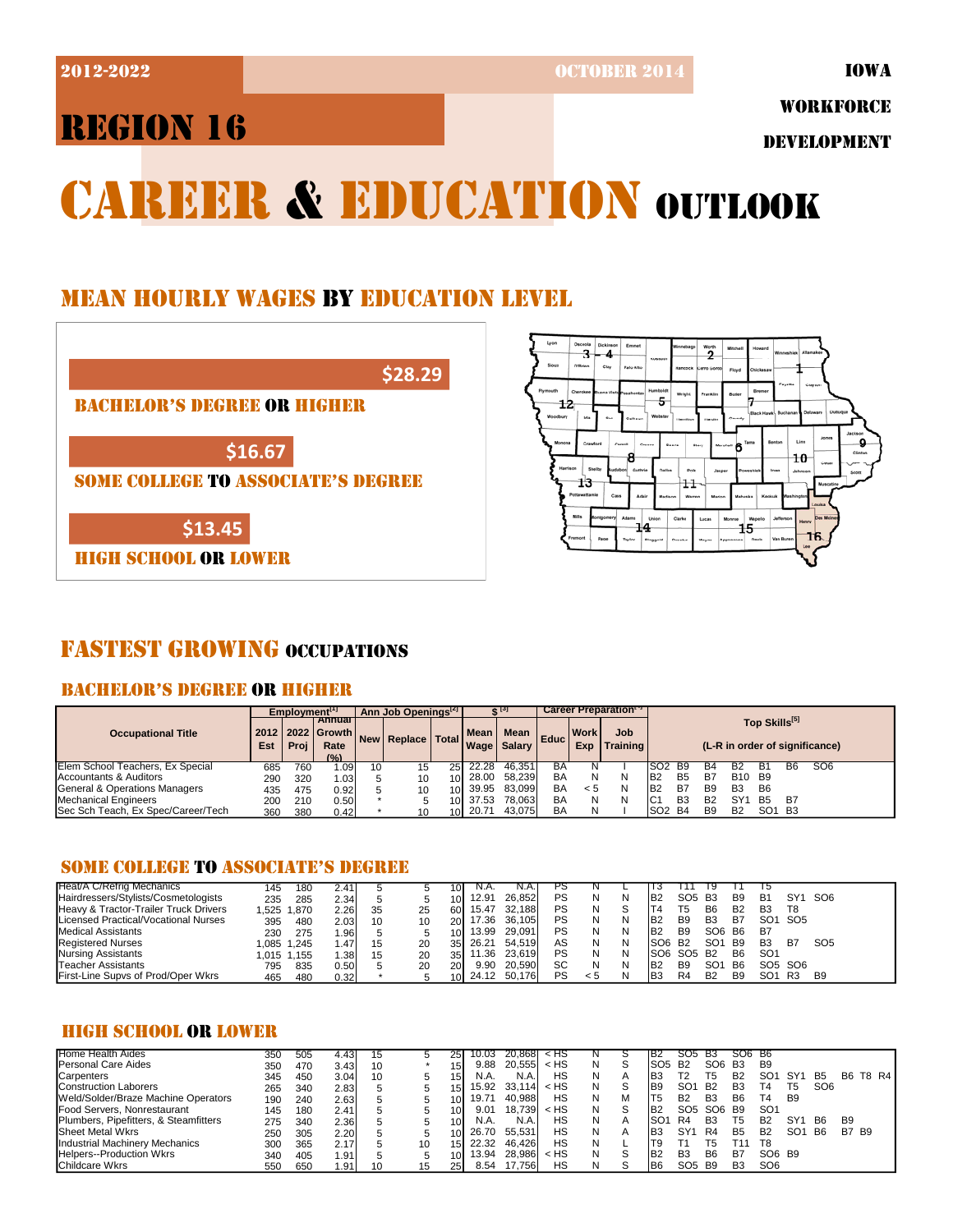2012-2022 OCTOBER 2014

IOWA

# REGION 16

WORKFORCE

DEVELOPMENT

# CAREER & EDUCATION OUTLOOK

## MEAN HOURLY WAGES BY EDUCATION LEVEL





## FASTEST GROWING OCCUPATIONS

## BACHELOR'S DEGREE OR HIGHER

|                                    |             | $Emplovment$ <sup>[1]</sup> |                                               |    | Ann Job Openings <sup>[2]</sup> |      |        |                                   |                   |                    | Career Preparation <sup>17</sup> |                                                             |                |                |                                |                 |           |                 |  |
|------------------------------------|-------------|-----------------------------|-----------------------------------------------|----|---------------------------------|------|--------|-----------------------------------|-------------------|--------------------|----------------------------------|-------------------------------------------------------------|----------------|----------------|--------------------------------|-----------------|-----------|-----------------|--|
| <b>Occupational Title</b>          | 2012<br>Est | Proi                        | <b>Annual</b><br>2022 Growth<br>Rate<br>(9/2) |    | New Replace   Total             |      | Mean I | <b>Mean</b><br><b>Wage</b> Salary | Educ <sup>1</sup> | <b>Work</b><br>Exp | Job<br><b>Training</b>           | Top Skills <sup>[5]</sup><br>(L-R in order of significance) |                |                |                                |                 |           |                 |  |
| Elem School Teachers, Ex Special   | 685         | 760                         | .09۱.،                                        | 10 | 15                              | 25   | 22.28  | 46.351                            | BА                |                    |                                  | SO <sub>2</sub>                                             | <b>B9</b>      | В4             |                                |                 | B6        | SO <sub>6</sub> |  |
| Accountants & Auditors             | 290         | 320                         | 1.031                                         |    | 10                              | 10I  | 28.00  | 58.239                            | BA                | Ν                  |                                  | B <sub>2</sub>                                              | B <sub>5</sub> | B7             | B <sub>10</sub> B <sub>9</sub> |                 |           |                 |  |
| General & Operations Managers      | 435         | 475                         | 0.92                                          |    | 10                              | 10I  | 39.95  | 83.099                            | BA                | < 5                |                                  | B <sub>2</sub>                                              | B7             | <b>B9</b>      | B <sub>3</sub>                 | B6              |           |                 |  |
| Mechanical Engineers               | 200         | 210                         | 0.50                                          |    |                                 | 10 I | 37.53  | 78.063                            | BA                | Ν                  |                                  | IC'                                                         | B <sub>3</sub> | <b>B2</b>      | SY'                            | <b>B5</b>       | <b>B7</b> |                 |  |
| Sec Sch Teach, Ex Spec/Career/Tech | 360         | 380                         | 0.42                                          |    | 10                              | 10I  | 20.71  | 43.075                            | BA                | N                  |                                  | SO <sub>2</sub>                                             | <b>B4</b>      | B <sub>9</sub> | <b>B2</b>                      | SO <sub>1</sub> | <b>B3</b> |                 |  |

## SOME COLLEGE TO ASSOCIATE'S DEGREE

| Heat/A C/Refrig Mechanics             | 145   | 180         | 2.41 |    |    | 101             | N.A.     | IN.A.I       | ٢٥ |     |   |                     |                 |                 |                |                 |                                 |                 |
|---------------------------------------|-------|-------------|------|----|----|-----------------|----------|--------------|----|-----|---|---------------------|-----------------|-----------------|----------------|-----------------|---------------------------------|-----------------|
| Hairdressers/Stylists/Cosmetologists  | 235   | 285         | 2.34 |    |    | 10 I            | 12.91    | 26.852       | PS |     | N | IB <sub>2</sub>     | SO <sub>5</sub> | <b>B3</b>       | B <sub>9</sub> | B1              | SY <sub>1</sub>                 | SO <sub>6</sub> |
| Heavy & Tractor-Trailer Truck Drivers |       | 1.525 1.870 | 2.26 | 35 | 25 | 60 l            | 15.47    | 32.188       | PS |     |   |                     | Т5              | B <sub>6</sub>  | B <sub>2</sub> | B <sub>3</sub>  | T8                              |                 |
| Licensed Practical/Vocational Nurses  | 395   | 480         | 2.03 | 10 | 10 | 20.             | 17.36    | 36.105       | PS |     | N | IB2                 | B9              | B <sub>3</sub>  | B7             | SO <sub>1</sub> | SO <sub>5</sub>                 |                 |
| Medical Assistants                    | 230   | 275         | .96  |    |    | 10 L            | 13.99    | 29.091       | PS |     |   | IB <sub>2</sub>     | B <sub>9</sub>  | SO <sub>6</sub> | - B6           | B7              |                                 |                 |
| <b>Registered Nurses</b>              |       | 1.085 1.245 | .47' |    | 20 |                 | 35 26.21 | 54.519       | AS |     | N | ISO6 B <sub>2</sub> |                 | SO <sub>1</sub> | <b>B</b> 9     | B <sub>3</sub>  | B7                              | SO <sub>5</sub> |
| Nursing Assistants                    | l.015 | 1.155       | .38  | 15 | 20 | 35 <sup>1</sup> | 1.36     | 23.619       | PS |     |   | ISO6 SO5            |                 | <b>B2</b>       | B <sub>6</sub> | SO <sub>1</sub> |                                 |                 |
| Teacher Assistants                    | 795   | 835         | 0.50 |    | 20 | <b>201</b>      | 9.90     | 20,590       | SC |     |   | IB2                 | B <sub>9</sub>  | SO <sub>1</sub> | <b>B6</b>      |                 | SO <sub>5</sub> SO <sub>6</sub> |                 |
| First-Line Supvs of Prod/Oper Wkrs    | 465   | 480         | 0.32 |    |    | 101             |          | 24.12 50,176 | PS | < 5 |   | IB3                 | R4              | B <sub>2</sub>  | B <sub>9</sub> | SO <sup>2</sup> | R3                              | B <sub>9</sub>  |

## HIGH SCHOOL OR LOWER

| Home Health Aides                     | 350 | 505 | 4.43 | 15 |    | 25              | 10.03 | 20.8681 | k HS   | N |   | IB2             | SU5             | В3              | SO6 B6         |                 |                 |                 |                |          |
|---------------------------------------|-----|-----|------|----|----|-----------------|-------|---------|--------|---|---|-----------------|-----------------|-----------------|----------------|-----------------|-----------------|-----------------|----------------|----------|
| Personal Care Aides                   | 350 | 470 | 3.43 | 10 |    | 15              | 9.88  | 20.555  | $<$ HS | N | S | SO <sub>5</sub> | <b>B2</b>       | SO6             | <b>B3</b>      | B9              |                 |                 |                |          |
| Carpenters                            | 345 | 450 | 3.04 | 10 | 5. | 15              | N.A.  | N.A.    | НS     | N | А | <b>B3</b>       |                 | Г5              | B <sub>2</sub> | SO <sup>.</sup> | SY <sup>1</sup> | <b>B5</b>       |                | B6 T8 R4 |
| <b>Construction Laborers</b>          | 265 | 340 | 2.83 |    |    | 15              | 15.92 | 33.114  | $<$ HS | N |   | <b>B</b> 9      | SO <sub>1</sub> | <b>B2</b>       | B <sub>3</sub> | Τ4              | T5              | SO <sub>6</sub> |                |          |
| Weld/Solder/Braze Machine Operators   | 190 | 240 | 2.63 |    |    | 10              | 19.71 | 40.988  | НS     | N | м | 'T5             | B <sub>2</sub>  | B <sub>3</sub>  | B <sub>6</sub> | Τ4              | B <sub>9</sub>  |                 |                |          |
| Food Servers. Nonrestaurant           | 145 | 180 | 2.41 |    |    | 10              | 9.01  | 18.739  | < HS   | Ν | S | IB <sub>2</sub> | SO <sub>5</sub> | SO <sub>6</sub> | <b>B</b> 9     | SO <sub>1</sub> |                 |                 |                |          |
| Plumbers, Pipefitters, & Steamfitters | 275 | 340 | 2.36 |    |    | 10              | N.A.  | N.A.    | НS     | N | А | SO <sup>-</sup> | R4              | B <sub>3</sub>  | 15             | B <sub>2</sub>  | SY <sup>1</sup> | <b>B6</b>       | B <sub>9</sub> |          |
| Sheet Metal Wkrs                      | 250 | 305 | 2.20 |    |    |                 | 26.70 | 55.531  | НS     | N | А | B <sub>3</sub>  | SY <sub>1</sub> | R4              | <b>B5</b>      | B <sub>2</sub>  | SO <sub>1</sub> | <b>B6</b>       | <b>B7 B9</b>   |          |
| <b>Industrial Machinery Mechanics</b> | 300 | 365 | 2.17 |    | 10 | 15              | 22.32 | 46.426  | НS     | N |   | Т9              |                 | Г5              |                | T <sub>8</sub>  |                 |                 |                |          |
| Helpers--Production Wkrs              | 340 | 405 | .91  |    |    |                 | 13.94 | 28.986  | < HS   | Ν |   | B <sub>2</sub>  | B <sub>3</sub>  | B6              | B7             | SO6 B9          |                 |                 |                |          |
| Childcare Wkrs                        | 550 | 650 | .91  | 10 | 15 | 25 <sub>1</sub> | 8.54  | 17.7561 | НS     | N |   | <b>B6</b>       | SO <sub>5</sub> | <b>B</b> 9      | B <sub>3</sub> | SO <sub>6</sub> |                 |                 |                |          |